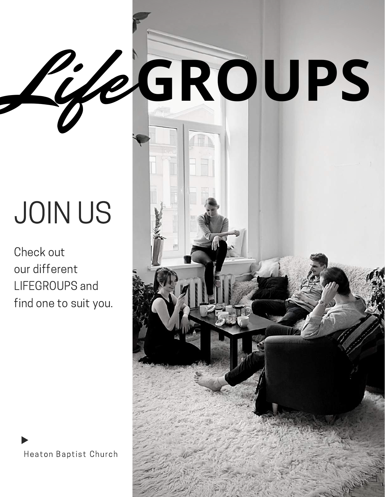# JOIN US

Check out our different LIFEGROUPS and find one to suit you.



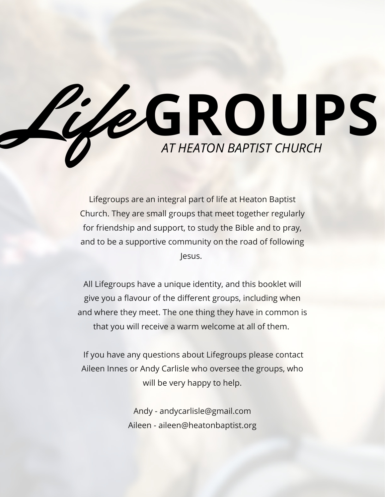

Lifegroups are an integral part of life at Heaton Baptist Church. They are small groups that meet together regularly for friendship and support, to study the Bible and to pray, and to be a supportive community on the road of following Jesus.

All Lifegroups have a unique identity, and this booklet will give you a flavour of the different groups, including when and where they meet. The one thing they have in common is that you will receive a warm welcome at all of them.

If you have any questions about Lifegroups please contact Aileen Innes or Andy Carlisle who oversee the groups, who will be very happy to help.

> Andy - andycarlisle@gmail.com Aileen - aileen@heatonbaptist.org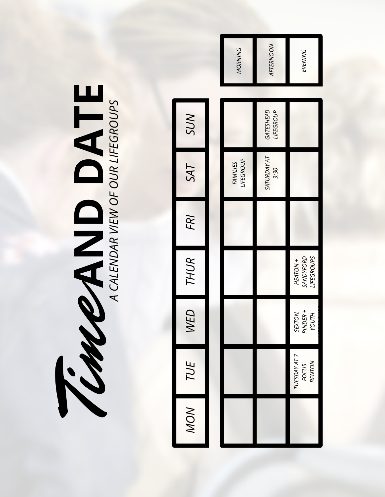| A CALENDAR VIEW OF OUR LIFEGROUPS | SUN        |
|-----------------------------------|------------|
|                                   | SAT        |
|                                   | FRI        |
| <b>K</b>                          | THUR I     |
|                                   | WED        |
|                                   | TUE        |
|                                   | $\lesssim$ |

|                       | <b>MORNING</b>        | AFTERNOON                  | EVENING                                    |  |
|-----------------------|-----------------------|----------------------------|--------------------------------------------|--|
| SUN                   |                       | GATESHEAD<br>LIFEGROUP     |                                            |  |
| SAT                   | LIFEGROUP<br>FAMILIES | <b>SATURDAY AT</b><br>3:30 |                                            |  |
| FRI                   |                       |                            |                                            |  |
| THUR                  |                       |                            | <b>LIFEGROUPS</b><br>SANDYFORD<br>HEATON + |  |
| <b>ED</b><br><b>Z</b> |                       |                            | SEXTON,<br>PINDER +<br>YOUTH               |  |
| TUE                   |                       |                            | TUESDAY AT 7<br>FOCUS<br>BENTON            |  |
| <b>MON</b>            |                       |                            |                                            |  |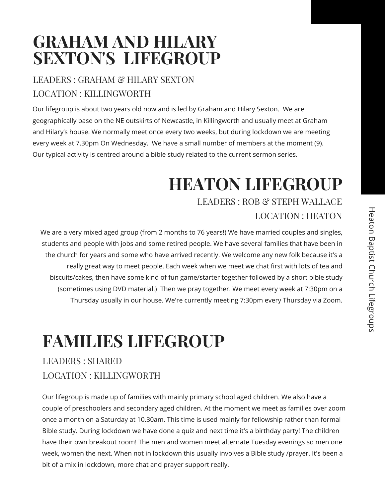### **GRAHAM AND HILARY SEXTON'S LIFEGROUP**

### LEADERS : GRAHAM & HILARY SEXTON LOCATION :KILLINGWORTH

Our lifegroup is about two years old now and is led by Graham and Hilary Sexton. We are geographically base on the NE outskirts of Newcastle, in Killingworth and usually meet at Graham and Hilary's house. We normally meet once every two weeks, but during lockdown we are meeting every week at 7.30pm On Wednesday. We have a small number of members at the moment (9). Our typical activity is centred around a bible study related to the current sermon series.

# **HEATON LIFEGROUP**

LEADERS : ROB & STEPH WALLACE LOCATION : HEATON

We are a very mixed aged group (from 2 months to 76 years!) We have married couples and singles, students and people with jobs and some retired people. We have several families that have been in the church for years and some who have arrived recently. We welcome any new folk because it's a really great way to meet people. Each week when we meet we chat first with lots of tea and biscuits/cakes, then have some kind of fun game/starter together followed by a short bible study (sometimes using DVD material.) Then we pray together. We meet every week at 7:30pm on a Thursday usually in our house. We're currently meeting 7:30pm every Thursday via Zoom.

## **FAMILIES LIFEGROUP**

### LEADERS : SHARED LOCATION :KILLINGWORTH

Our lifegroup is made up of families with mainly primary school aged children. We also have a couple of preschoolers and secondary aged children. At the moment we meet as families over zoom once a month on a Saturday at 10.30am. This time is used mainly for fellowship rather than formal Bible study. During lockdown we have done a quiz and next time it's a birthday party! The children have their own breakout room! The men and women meet alternate Tuesday evenings so men one week, women the next. When not in lockdown this usually involves a Bible study /prayer. It's been a bit of a mix in lockdown, more chat and prayer support really.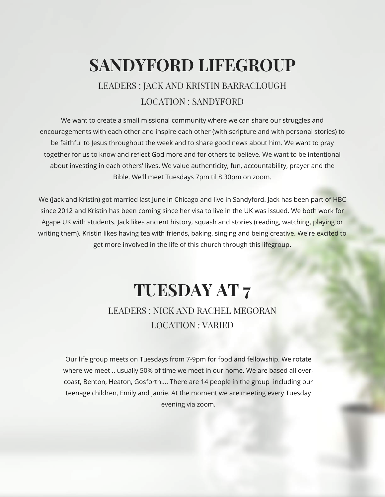### **SANDYFORD LIFEGROUP**

### LEADERS : JACK AND KRISTIN BARRACLOUGH LOCATION : SANDYFORD

We want to create a small missional community where we can share our struggles and encouragements with each other and inspire each other (with scripture and with personal stories) to be faithful to Jesus throughout the week and to share good news about him. We want to pray together for us to know and reflect God more and for others to believe. We want to be intentional about investing in each others' lives. We value authenticity, fun, accountability, prayer and the Bible. We'll meet Tuesdays 7pm til 8.30pm on zoom.

We (Jack and Kristin) got married last June in Chicago and live in Sandyford. Jack has been part of HBC since 2012 and Kristin has been coming since her visa to live in the UK was issued. We both work for Agape UK with students. Jack likes ancient history, squash and stories (reading, watching, playing or writing them). Kristin likes having tea with friends, baking, singing and being creative. We're excited to get more involved in the life of this church through this lifegroup.

### **TUESDAY AT 7** LEADERS : NICK AND RACHEL MEGORAN

#### LOCATION :VARIED

Our life group meets on Tuesdays from 7-9pm for food and fellowship. We rotate where we meet .. usually 50% of time we meet in our home. We are based all overcoast, Benton, Heaton, Gosforth.... There are 14 people in the group including our teenage children, Emily and Jamie. At the moment we are meeting every Tuesday evening via zoom.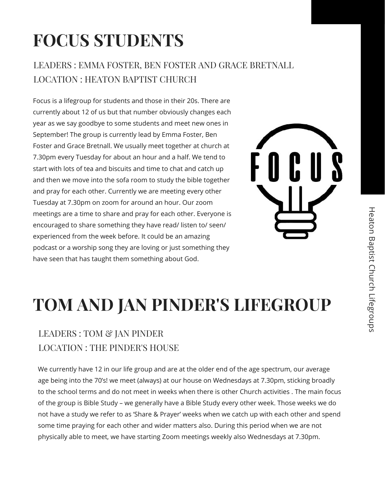# **FOCUS STUDENTS**

#### LEADERS : EMMA FOSTER, BEN FOSTER AND GRACE BRETNALL LOCATION : HEATON BAPTIST CHURCH

Focus is a lifegroup for students and those in their 20s. There are currently about 12 of us but that number obviously changes each year as we say goodbye to some students and meet new ones in September! The group is currently lead by Emma Foster, Ben Foster and Grace Bretnall. We usually meet together at church at 7.30pm every Tuesday for about an hour and a half. We tend to start with lots of tea and biscuits and time to chat and catch up and then we move into the sofa room to study the bible together and pray for each other. Currently we are meeting every other Tuesday at 7.30pm on zoom for around an hour. Our zoom meetings are a time to share and pray for each other. Everyone is encouraged to share something they have read/ listen to/ seen/ experienced from the week before. It could be an amazing podcast or a worship song they are loving or just something they have seen that has taught them something about God.



# **TOM AND JAN PINDER'S LIFEGROUP**

### LEADERS : TOM & JAN PINDER LOCATION :THE PINDER'S HOUSE

We currently have 12 in our life group and are at the older end of the age spectrum, our average age being into the 70's! we meet (always) at our house on Wednesdays at 7.30pm, sticking broadly to the school terms and do not meet in weeks when there is other Church activities . The main focus of the group is Bible Study – we generally have a Bible Study every other week. Those weeks we do not have a study we refer to as 'Share & Prayer' weeks when we catch up with each other and spend some time praying for each other and wider matters also. During this period when we are not physically able to meet, we have starting Zoom meetings weekly also Wednesdays at 7.30pm.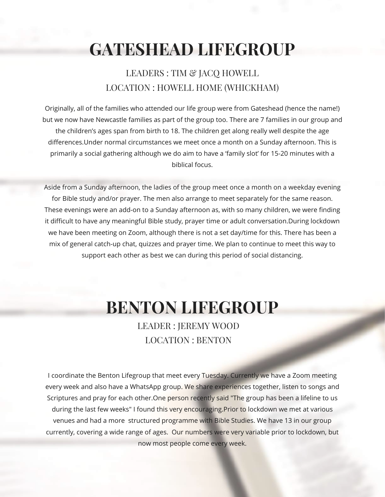## **GATESHEAD LIFEGROUP**

#### LEADERS : TIM & JACO HOWELL LOCATION : HOWELL HOME (WHICKHAM)

Originally, all of the families who attended our life group were from Gateshead (hence the name!) but we now have Newcastle families as part of the group too. There are 7 families in our group and the children's ages span from birth to 18. The children get along really well despite the age differences.Under normal circumstances we meet once a month on a Sunday afternoon. This is primarily a social gathering although we do aim to have a 'family slot' for 15-20 minutes with a biblical focus.

Aside from a Sunday afternoon, the ladies of the group meet once a month on a weekday evening for Bible study and/or prayer. The men also arrange to meet separately for the same reason. These evenings were an add-on to a Sunday afternoon as, with so many children, we were finding it difficult to have any meaningful Bible study, prayer time or adult conversation.During lockdown we have been meeting on Zoom, although there is not a set day/time for this. There has been a mix of general catch-up chat, quizzes and prayer time. We plan to continue to meet this way to support each other as best we can during this period of social distancing.

### **BENTON LIFEGROUP**

LEADER : JEREMY WOOD LOCATION : BENTON

I coordinate the Benton Lifegroup that meet every Tuesday. Currently we have a Zoom meeting every week and also have a WhatsApp group. We share experiences together, listen to songs and Scriptures and pray for each other.One person recently said "The group has been a lifeline to us during the last few weeks" I found this very encouraging. Prior to lockdown we met at various venues and had a more structured programme with Bible Studies. We have 13 in our group currently, covering a wide range of ages. Our numbers were very variable prior to lockdown, but now most people come every week.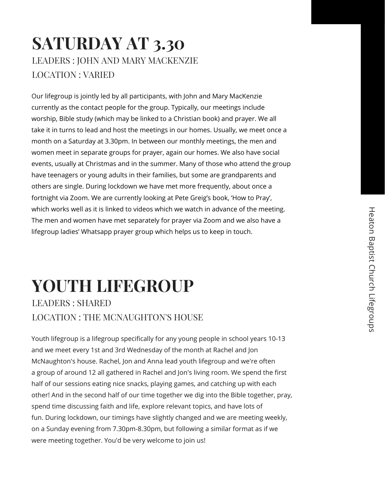### **SATURDAY AT 3.30** LEADERS : JOHN AND MARY MACKENZIE LOCATION :VARIED

Our lifegroup is jointly led by all participants, with John and Mary MacKenzie currently as the contact people for the group. Typically, our meetings include worship, Bible study (which may be linked to a Christian book) and prayer. We all take it in turns to lead and host the meetings in our homes. Usually, we meet once a month on a Saturday at 3.30pm. In between our monthly meetings, the men and women meet in separate groups for prayer, again our homes. We also have social events, usually at Christmas and in the summer. Many of those who attend the group have teenagers or young adults in their families, but some are grandparents and others are single. During lockdown we have met more frequently, about once a fortnight via Zoom. We are currently looking at Pete Greig's book, 'How to Pray', which works well as it is linked to videos which we watch in advance of the meeting. The men and women have met separately for prayer via Zoom and we also have a lifegroup ladies' Whatsapp prayer group which helps us to keep in touch.

### **YOUTH LIFEGROUP** LEADERS : SHARED LOCATION :THE MCNAUGHTON'S HOUSE

Youth lifegroup is a lifegroup specifically for any young people in school years 10-13 and we meet every 1st and 3rd Wednesday of the month at Rachel and Jon McNaughton's house. Rachel, Jon and Anna lead youth lifegroup and we're often a group of around 12 all gathered in Rachel and Jon's living room. We spend the first half of our sessions eating nice snacks, playing games, and catching up with each other! And in the second half of our time together we dig into the Bible together, pray, spend time discussing faith and life, explore relevant topics, and have lots of fun. During lockdown, our timings have slightly changed and we are meeting weekly, on a Sunday evening from 7.30pm-8.30pm, but following a similar format as if we were meeting together. You'd be very welcome to join us!